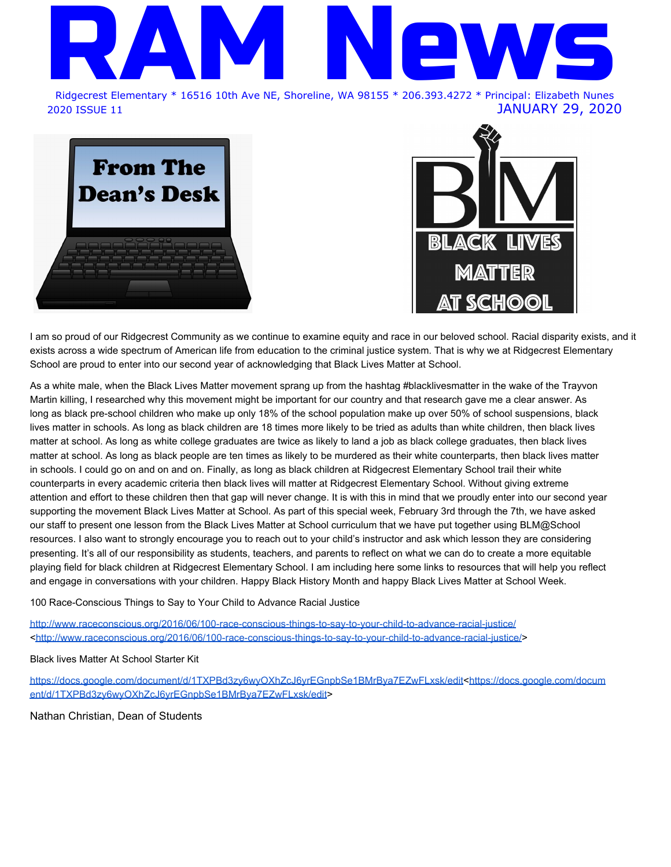

**From The Dean's Desk** 



I am so proud of our Ridgecrest Community as we continue to examine equity and race in our beloved school. Racial disparity exists, and it exists across a wide spectrum of American life from education to the criminal justice system. That is why we at Ridgecrest Elementary School are proud to enter into our second year of acknowledging that Black Lives Matter at School.

As a white male, when the Black Lives Matter movement sprang up from the hashtag #blacklivesmatter in the wake of the Trayvon Martin killing, I researched why this movement might be important for our country and that research gave me a clear answer. As long as black pre-school children who make up only 18% of the school population make up over 50% of school suspensions, black lives matter in schools. As long as black children are 18 times more likely to be tried as adults than white children, then black lives matter at school. As long as white college graduates are twice as likely to land a job as black college graduates, then black lives matter at school. As long as black people are ten times as likely to be murdered as their white counterparts, then black lives matter in schools. I could go on and on and on. Finally, as long as black children at Ridgecrest Elementary School trail their white counterparts in every academic criteria then black lives will matter at Ridgecrest Elementary School. Without giving extreme attention and effort to these children then that gap will never change. It is with this in mind that we proudly enter into our second year supporting the movement Black Lives Matter at School. As part of this special week, February 3rd through the 7th, we have asked our staff to present one lesson from the Black Lives Matter at School curriculum that we have put together using BLM@School resources. I also want to strongly encourage you to reach out to your child's instructor and ask which lesson they are considering presenting. It's all of our responsibility as students, teachers, and parents to reflect on what we can do to create a more equitable playing field for black children at Ridgecrest Elementary School. I am including here some links to resources that will help you reflect and engage in conversations with your children. Happy Black History Month and happy Black Lives Matter at School Week.

100 Race-Conscious Things to Say to Your Child to Advance Racial Justice

<http://www.raceconscious.org/2016/06/100-race-conscious-things-to-say-to-your-child-to-advance-racial-justice/> [<http://www.raceconscious.org/2016/06/100-race-conscious-things-to-say-to-your-child-to-advance-racial-justice/](http://www.raceconscious.org/2016/06/100-race-conscious-things-to-say-to-your-child-to-advance-racial-justice/)>

Black lives Matter At School Starter Kit

[https://docs.google.com/document/d/1TXPBd3zy6wyOXhZcJ6yrEGnpbSe1BMrBya7EZwFLxsk/edit<https://docs.google.com/docum](https://docs.google.com/document/d/1TXPBd3zy6wyOXhZcJ6yrEGnpbSe1BMrBya7EZwFLxsk/edit) [ent/d/1TXPBd3zy6wyOXhZcJ6yrEGnpbSe1BMrBya7EZwFLxsk/edit](https://docs.google.com/document/d/1TXPBd3zy6wyOXhZcJ6yrEGnpbSe1BMrBya7EZwFLxsk/edit)>

Nathan Christian, Dean of Students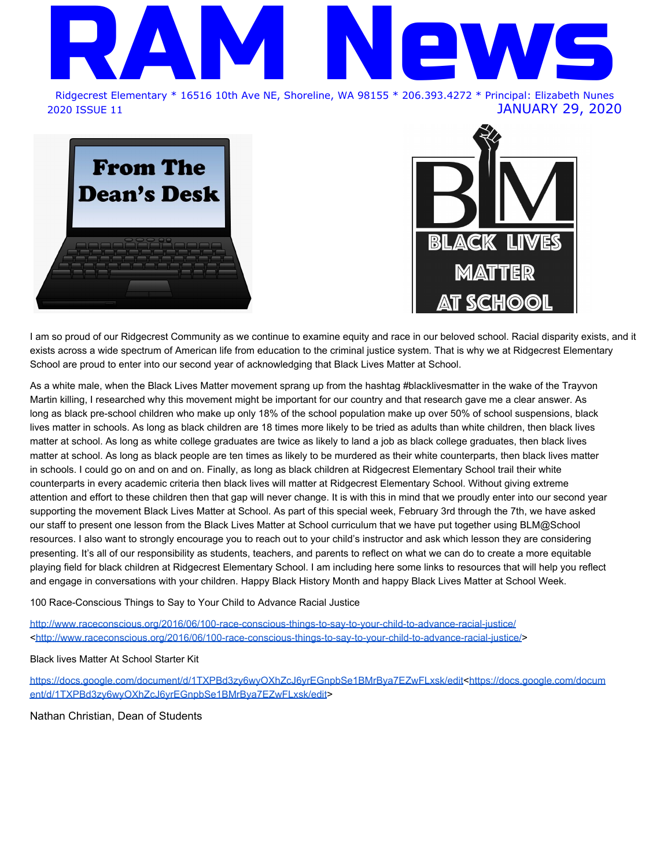# Calendar of Events

### **JANUARY**

- 29 NO EARLY RELEASE TODAY **Students will be dismissed at 3:00 pm**
- 30 Multicultural Potluck Dinner and Storyteller 6-8pm, RC Cafeteria
- 30 Honor Choir Performance 7pm, Shorecrest Performing Arts Center All Unclaimed LOST & FOUND Items will be taken to The WORKS
- 31 **FULL DAY OF SCHOOL** This is a SNOW MAKEUP DAY for Jan 13 Popcorn Friday (rescheduled from last week)

### **FEBRUARY**

- 3 Black Voices: A Community Opportunity Teaching for Black Lives 6-7:30pm, Shorewood High School Eastside Band Festival 7:30pm, Shorecrest Gym
- 4 **First Day of Kindergarten Registration** (Open Enrollment through Feb 28)
- 4 & 5 Black Voices: A Community Opportunity Book Fair 4-6pm, RC Cafeteria, and Gym
- 5 EARLY RELEASE **Students will be dismissed at 1:20 pm** Black Voices: A Community Opportunity – HBCU Night Historically Black Colleges & Universities 6-7:30pm, Shorecrest High School
- 6 Black Voices: A Community Opportunity Celebrate Black Arts Book-It Repertory Theatre's Performance of "Crown: An Ode to the Fresh Cut" by Derrick Barnes 6-7:30pm, Shoreline Room, Shoreline Center Tickets are free but required. Sign up at: [www.shorelineschools.org/blackvoices](http://track.spe.schoolmessenger.com/f/a/tyS569jdDbyiK3njSAFZvw~~/AAAAAQA~/RgRgC2ErP0QraHR0cDovL3d3dy5zaG9yZWxpbmVzY2hvb2xzLm9yZy9ibGFja3ZvaWNlc1cHc2Nob29sbUIKAACrLSpe4o4x6FIkamFuaW5hLnBhY3Vuc2tpQHNob3JlbGluZXNjaG9vbHMub3JnWAQAAAAB)
- 7 Black Voices: A Community Opportunity Talking to Kids About Race 6-8pm, Shorecrest High School Registration is Required: [shorelineschools.org/blackvoices](http://shorelineschools.org/blackvoices)
- 11 Eastside Orchestra Festival 7-8:30pm, Shorecrest Performing Arts Center
- 12 EARLY RELEASE **Students will be dismissed at 1:20 pm**
- 13 6th Grade Camp Parent Meeting 7-8pm, RC Room 316
- 17 NO SCHOOL Presidents' Day
- 18-21 NO SCHOOL MID-WINTER BREAK
- 26 EARLY RELEASE **Students will be dismissed at 1:20 pm** 6th Graders Visit Kellogg 9:30-11:30am

### **MARCH**

- 2-6 Spring Elementary Conferences -- **Students will be dismissed at 11:15am ALL WEEK Band/Orchestra will be TUESDAY ONLY this week**
- 9 6th Grade Middle School Registration Forms due to teacher
- 14 RC Auction & Food Truck Rodeo 5pm. Shorecrest High School; Tickets available on the RC PTA Website / This is a 21+ event
- 25 5th Graders Visit Kellogg, 9:30-11:30am
- 30 5th Grade Middle School Registration Forms due to teacher

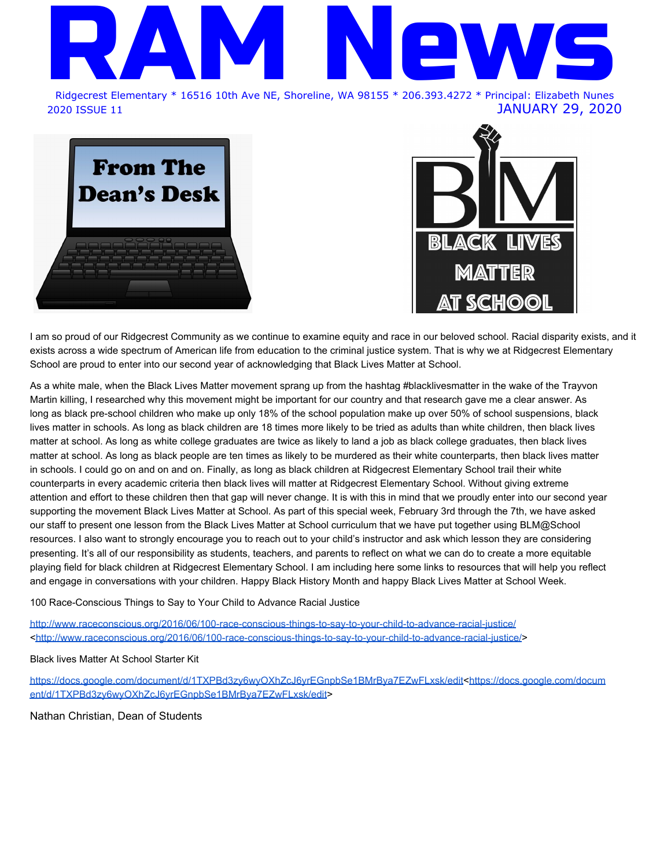## 2020 RIDGECREST AUCTION NEWSLETTER

Please join us for a fun evening at the Ridgecrest Food Truck Rodeo & Auction to connect with our wonderful community and to raise funds for our students. Tickets are on sale now!

When: Saturday, March 14, 2020. Door opens at 5pm.

Where: Shorecrest High School - 15343 25th Ave NE, Shoreline

### Featuring:

- 4 food trucks
- · Trivia and games (mechanical bull station, chicken poop bingo, photo booth, heads/tails, raffles and prizes)
- Chance to bid on classroom art projects, teacher experiences (including principal for the day!)
- Live Bands
	- √ Shoreline Community Jazz Band with Jeff Kashiwa
	- ← Funk and Groove (cover band from Shoreline JC)
	- ← The Good Ideas (recent RC araduates)

Ticket: \$40 per person (\$30 for teacher/staff) and includes:

- Entrance to the event
- One sample from each food truck (5 6pm)
- One main entree from a food truck (6 8pm)
- One drink voucher

Tickets will be \$50 at the door day of event This event is 21+ and will take place rain or shine

**GOLDEN RAM SPONSOR** 



**BRONZE RAM SPONSORS** 











### **BLUE RAM SPONSORS**

**Early Bird ends February 7!** 

 $(§35/$ ficket $)$ 

Get your tickets now at

RidgecrestPTA.org/Auction

Allred Family The James Gang Hamai Family **Taylor Family** 

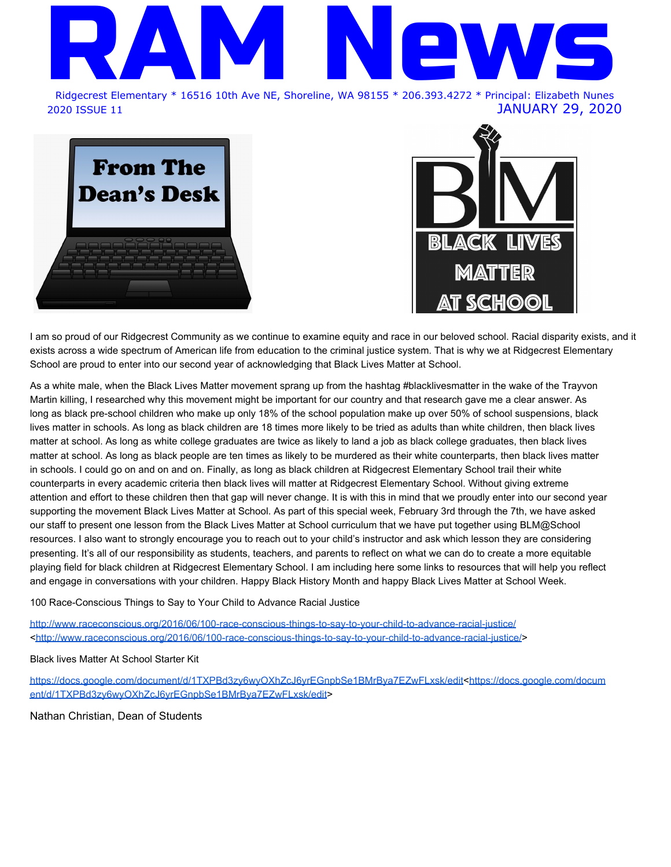

**Board of Directors** Heather Fralick Mike Jacobs Richard Nicholson Richard Potter David Wilson Rebecca L. Miner Superintendent Secretary to the Board

### Ridgecrest Elementary Prearranged Absence Form

### **INSTRUCTIONS FOR PARENTS:**

### Please complete the below information and return Janina in the Ridgecrest front office.

Families should try to not schedule vacations or travel while school is in session. If a family vacation or travel must occur while school is in session, it must be prearranged prior to the first date of the absence and approved by the principal (or designee).

As a courtesy to family needs, the principal (or designee) may excuse up to five (5) school days for a prearranged absence per student each school year.

Assignments requested for a prearranged absence will be provided to the student or parent/guardian if requested three (3) to five (5) school days prior to the absence. Please note: Not all learning activities/opportunities can be reproduced outside of the classroom.

| Student #1 Name:                                               | Student #2 Name:                       |  |
|----------------------------------------------------------------|----------------------------------------|--|
| Teacher/Grade:                                                 | Teacher/Grade:                         |  |
| Student #3 Name:                                               | Student #4 Name:                       |  |
| Teacher/Grade:                                                 | Teacher/Grade:______                   |  |
| Date(s) of Planned Absence: ___________<br>Reason for absence: | Total Missed School Days:              |  |
| Vacation<br>▫                                                  | Family Event (wedding, cultural event) |  |

**Q** Family Emergency  $\Box$  Other  $\Box$ 

### **PARENTS**

I have met/communicated with my student's teacher(s) regarding this planned absence and ways for my student(s) to complete requested assignments. I am aware that this absence may affect my student's learning and being prepared for the next grade.

| Parent/quardian signature | Date | Phone |
|---------------------------|------|-------|
|                           |      |       |

The following are available vacation dates for this year. We appreciate your scheduling vacations/time away from school during these times so that we can serve your child and help them achieve their best in school.

- . November 27th (11:15am early release)-November 28th-29th-Thanksgiving
- · December 23rd-January 3rd-Winter Break
- . February 17th February 21st-Mid-Winter Break
- · April 20th April 24th-Spring Break

Ridgecrest Elementary, 16516 10th Ave NE, Shoreline, WA 98155, Office (206) 393-4272, Fax (206) 393-4193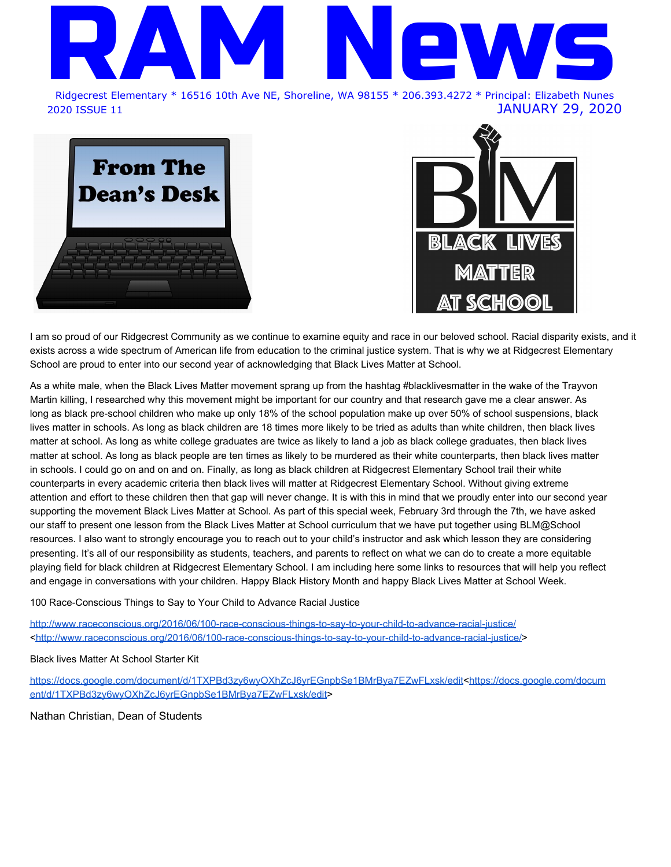JOIN US AS WE CELEBRATE

## **A COMMUNI** OPPORT т More information at www.shorelineschools.org/blackvoices

FEBRUARY 3RD-7TH, 2020



Teaching for Black Lives: An evening with Seattle educator Jesse Hagopian & Dr. Tanisha Brandon-Felder, Director of Equity & Family Engagement, Shoreline Schools

\*In partnership with the Shoreline Foundation, Shorewood HS & Shoreline Education Association\*

Shorewood High School Theatre, 6:00-7:30 PM **Black Book Fair!** A book fair in celebration of representation

in literature. Buy a book & consider buying one for another student. Special quest YA author Candice Montgomery \*In partnership with Third Place Books, Shoreline PTSA Council & Kellogg MS Ridgecrest Elementary, 4:00-8:00 PM (open Tue & Wed)



HBCU & College Support Night Celebrate and learn more about attending a Historically Black College or University, and local college supports for Black Students

WITH SPECIAL PERFORMANCE FROM SHOREWOOD STEP TEAM

### Shorecrest High School, 6:00-7:30 PM



**Celebrate Black Arts** Join us for a family-friendly theater performance of author Derrick Barnes' book Crown: An Ode to the Fresh Cut \*\* Tickets required at: www.shorelineschools.org/blackvoices\*\* \*In partnership with Book-It Repertory Theatre & Meridian Park Elementary\*

Shoreline Room @ Shoreline Center, 6:00-7:00 PM Talking About Race Learn how to talk about race with your child at any age, alongside other families. Dinner & childcare provided. \*\* Registration required at www.shorelineschools.org/blackvoices \*\* \*In partnership with the City of Shoreline & Shorecrest High School\*

### Shorecrest High School, 6:00-8:00 PM

Sponsored by Shoreline Public Schools, Shoreline Public Schools Foundation, Shoreline PTA Council, Shoreline Educators Association, City of Shoreline and Shoreline CORE (Collectively Organizing for Racial Equity)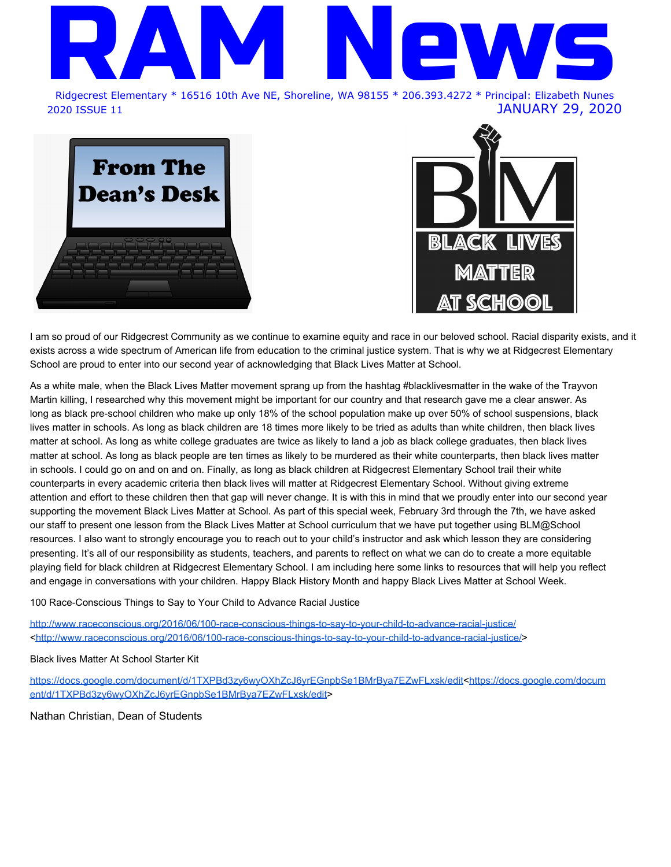## **January Life Skill -- Problem Solving**

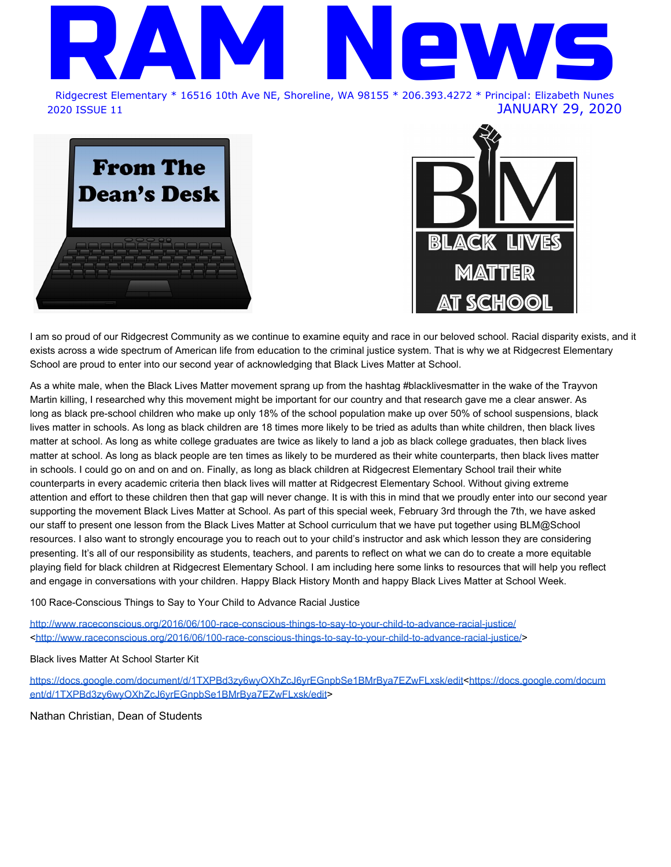## **February Life Skill -- Perseverance (persistence)**

Starting in February, our Life Skill will be Perseverance.

Perseverance *{I} A* persistence in doing something despite difficulty or delay in achieving success.